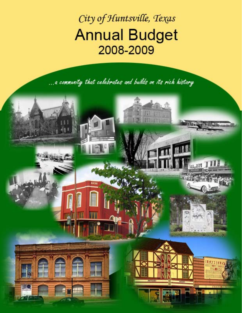City of Huntsville, Texas **Annual Budget** 2008-2009

... a commanity that celebrates and builds on its rich history

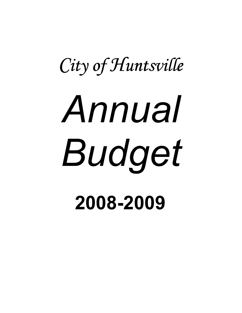# City of Huntsville Annual Budget 2008-2009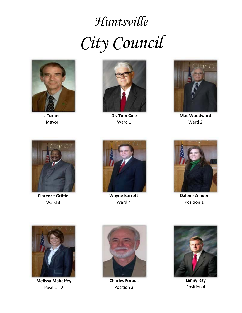## *Huntsville City Council*



**J Turner** Mayor



**Dr. Tom Cole** Ward 1



**Mac Woodward** Ward 2



**Clarence Griffin** Ward 3



**Wayne Barrett CONSIDERING CONSIDERING CONSIDERING CONSIDERING CONSIDERING CONSIDERING CONSIDERING CONSIDERING CONSIDERING CONSIDERING CONSIDERING CONSIDERING CONSIDERING CONSIDERING CONSIDERING CONSIDERING CONSIDERING C** Ward 4



**Dalene Zender** Position 1



**Melissa Mahaffey** Position 2



**Charles Forbus Charles Charles Charles Charles Charles Charles Charles Charles Charles Charles Charles Charles Charles Charles Charles Charles Charles Charles Charles Charles Char** Position 3



**Lanny Ray** Position 4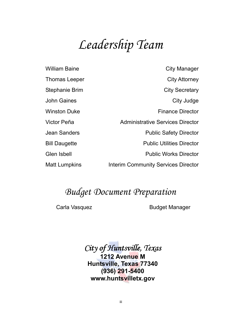## Leadership Team

| <b>William Baine</b>  | <b>City Manager</b>                        |
|-----------------------|--------------------------------------------|
| Thomas Leeper         | <b>City Attorney</b>                       |
| <b>Stephanie Brim</b> | <b>City Secretary</b>                      |
| <b>John Gaines</b>    | City Judge                                 |
| <b>Winston Duke</b>   | <b>Finance Director</b>                    |
| Victor Peña           | <b>Administrative Services Director</b>    |
| <b>Jean Sanders</b>   | <b>Public Safety Director</b>              |
| <b>Bill Daugette</b>  | <b>Public Utilities Director</b>           |
| <b>Glen Isbell</b>    | <b>Public Works Director</b>               |
| <b>Matt Lumpkins</b>  | <b>Interim Community Services Director</b> |

### **Budget Document Preparation**

Carla Vasquez

**Budget Manager** 

City of Huntsville, Texas 1212 Avenue M Huntsville, Texas 77340  $(936)$  291-5400 www.huntsvilletx.gov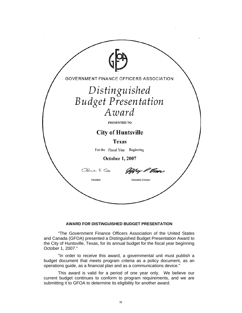| GOVERNMENT FINANCE OFFICERS ASSOCIATION |
|-----------------------------------------|
| Distinguished                           |
| <b>Budget Presentation</b>              |
| Award                                   |
| PRESENTED TO                            |
| <b>City of Huntsville</b>               |
| <b>Texas</b>                            |
| For the Fiscal Year<br>Beginning        |
| October 1, 2007                         |
| Rue S. Cox<br>og K. Enger               |
| President<br><b>Executive Director</b>  |
|                                         |
|                                         |

#### **AWARD FOR DISTINGUISHED BUDGET PRESENTATION**

"The Government Finance Officers Association of the United States and Canada (GFOA) presented a Distinguished Budget Presentation Award to the City of Huntsville, Texas, for its annual budget for the fiscal year beginning October 1, 2007."

"In order to receive this award, a governmental unit must publish a budget document that meets program criteria as a policy document, as an operations guide, as a financial plan and as a communications device."

This award is valid for a period of one year only. We believe our current budget continues to conform to program requirements, and we are submitting it to GFOA to determine its eligibility for another award.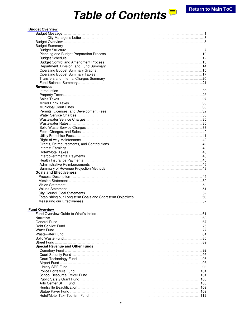## Table of Contents<sup></sup>

#### **Budget Overview**

| <b>Budget Summary</b>                  |  |
|----------------------------------------|--|
|                                        |  |
|                                        |  |
|                                        |  |
|                                        |  |
|                                        |  |
|                                        |  |
|                                        |  |
|                                        |  |
|                                        |  |
| <b>Revenues</b>                        |  |
|                                        |  |
|                                        |  |
|                                        |  |
|                                        |  |
|                                        |  |
|                                        |  |
|                                        |  |
|                                        |  |
|                                        |  |
|                                        |  |
|                                        |  |
|                                        |  |
|                                        |  |
|                                        |  |
|                                        |  |
|                                        |  |
|                                        |  |
|                                        |  |
|                                        |  |
|                                        |  |
|                                        |  |
|                                        |  |
|                                        |  |
| <b>Goals and Effectiveness</b>         |  |
|                                        |  |
|                                        |  |
|                                        |  |
|                                        |  |
|                                        |  |
|                                        |  |
|                                        |  |
|                                        |  |
| <b>Fund Overview</b>                   |  |
|                                        |  |
|                                        |  |
|                                        |  |
|                                        |  |
|                                        |  |
|                                        |  |
|                                        |  |
|                                        |  |
|                                        |  |
| <b>Special Revenue and Other Funds</b> |  |
|                                        |  |
|                                        |  |
|                                        |  |
|                                        |  |
|                                        |  |
|                                        |  |
|                                        |  |
|                                        |  |
|                                        |  |
|                                        |  |
|                                        |  |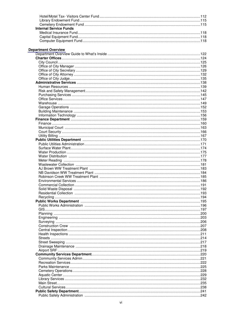| <b>Internal Service Funds</b> |      |
|-------------------------------|------|
|                               |      |
|                               |      |
|                               |      |
| <b>Department Overview</b>    |      |
|                               |      |
|                               |      |
|                               |      |
|                               |      |
|                               |      |
|                               |      |
|                               |      |
|                               |      |
|                               |      |
|                               |      |
|                               |      |
|                               |      |
|                               |      |
|                               |      |
|                               |      |
|                               |      |
|                               |      |
|                               |      |
|                               |      |
|                               |      |
|                               |      |
|                               |      |
|                               |      |
|                               |      |
|                               |      |
|                               |      |
|                               |      |
|                               |      |
|                               |      |
|                               |      |
|                               |      |
|                               |      |
|                               |      |
|                               |      |
|                               |      |
|                               |      |
|                               |      |
|                               |      |
|                               | .206 |
|                               |      |
|                               |      |
|                               |      |
|                               |      |
|                               |      |
|                               |      |
|                               |      |
|                               |      |
|                               |      |
|                               |      |
|                               |      |
|                               |      |
|                               |      |
|                               |      |
|                               |      |
|                               |      |
|                               |      |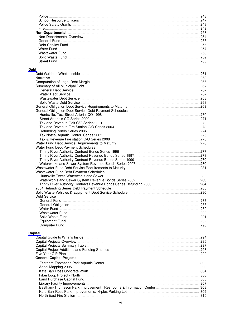#### Debt

| Dι                                                     |  |
|--------------------------------------------------------|--|
|                                                        |  |
|                                                        |  |
|                                                        |  |
|                                                        |  |
|                                                        |  |
|                                                        |  |
|                                                        |  |
|                                                        |  |
|                                                        |  |
| General Obligation Debt Service Debt Payment Schedules |  |
|                                                        |  |
|                                                        |  |
|                                                        |  |
|                                                        |  |
|                                                        |  |
|                                                        |  |
|                                                        |  |
|                                                        |  |
| Water Fund Debt Payment Schedules                      |  |
|                                                        |  |
|                                                        |  |
|                                                        |  |
|                                                        |  |
|                                                        |  |
| Wastewater Fund Debt Payment Schedules                 |  |
|                                                        |  |
|                                                        |  |
|                                                        |  |
|                                                        |  |
|                                                        |  |
| Debt Service                                           |  |
|                                                        |  |
|                                                        |  |
|                                                        |  |
|                                                        |  |
|                                                        |  |
|                                                        |  |
|                                                        |  |
| pital                                                  |  |

#### $Ca$

|                                 | .294 |
|---------------------------------|------|
|                                 |      |
|                                 |      |
|                                 |      |
|                                 |      |
| <b>General Capital Projects</b> |      |
|                                 |      |
|                                 |      |
|                                 |      |
|                                 |      |
|                                 |      |
|                                 |      |
|                                 |      |
|                                 |      |
|                                 |      |
|                                 |      |